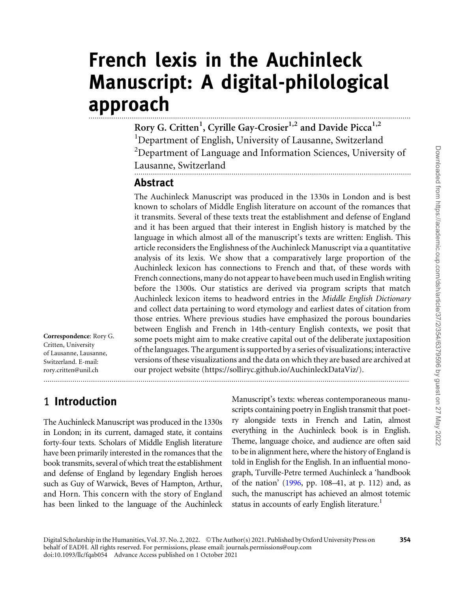# French lexis in the Auchinleck Manuscript: A digital-philological approach

Rory G. Critten<sup>1</sup>, Cyrille Gay-Crosier<sup>1,2</sup> and Davide Picca<sup>1,2</sup> <sup>1</sup>Department of English, University of Lausanne, Switzerland <sup>2</sup>Department of Language and Information Sciences, University of Lausanne, Switzerland ......................................................................................................................................

#### Abstract

The Auchinleck Manuscript was produced in the 1330s in London and is best known to scholars of Middle English literature on account of the romances that it transmits. Several of these texts treat the establishment and defense of England and it has been argued that their interest in English history is matched by the language in which almost all of the manuscript's texts are written: English. This article reconsiders the Englishness of the Auchinleck Manuscript via a quantitative analysis of its lexis. We show that a comparatively large proportion of the Auchinleck lexicon has connections to French and that, of these words with French connections, many do not appear to have been much used in English writing before the 1300s. Our statistics are derived via program scripts that match Auchinleck lexicon items to headword entries in the Middle English Dictionary and collect data pertaining to word etymology and earliest dates of citation from those entries. Where previous studies have emphasized the porous boundaries between English and French in 14th-century English contexts, we posit that some poets might aim to make creative capital out of the deliberate juxtaposition of the languages. The argument is supported by a series of visualizations; interactive versions of these visualizations and the data on which they are based are archived at our project website [\(https://solliryc.github.io/AuchinleckDataViz/\)](https://solliryc.github.io/AuchinleckDataViz/).

## 1 Introduction

Correspondence: Rory G. Critten, University of Lausanne, Lausanne, Switzerland. E-mail: rory.critten@unil.ch

The Auchinleck Manuscript was produced in the 1330s in London; in its current, damaged state, it contains forty-four texts. Scholars of Middle English literature have been primarily interested in the romances that the book transmits, several of which treat the establishment and defense of England by legendary English heroes such as Guy of Warwick, Beves of Hampton, Arthur, and Horn. This concern with the story of England has been linked to the language of the Auchinleck Manuscript's texts: whereas contemporaneous manuscripts containing poetry in English transmit that poetry alongside texts in French and Latin, almost everything in the Auchinleck book is in English. Theme, language choice, and audience are often said to be in alignment here, where the history of England is told in English for the English. In an influential monograph, Turville-Petre termed Auchinleck a 'handbook of the nation' [\(1996,](#page-19-0) pp. 108–41, at p. 112) and, as such, the manuscript has achieved an almost totemic status in accounts of early English literature.<sup>1</sup>

.................................................................................................................................................................................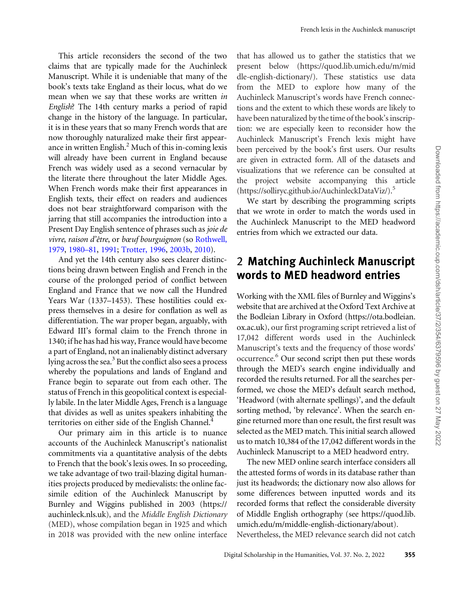This article reconsiders the second of the two claims that are typically made for the Auchinleck Manuscript. While it is undeniable that many of the book's texts take England as their locus, what do we mean when we say that these works are written in English? The 14th century marks a period of rapid change in the history of the language. In particular, it is in these years that so many French words that are now thoroughly naturalized make their first appearance in written English.<sup>2</sup> Much of this in-coming lexis will already have been current in England because French was widely used as a second vernacular by the literate there throughout the later Middle Ages. When French words make their first appearances in English texts, their effect on readers and audiences does not bear straightforward comparison with the jarring that still accompanies the introduction into a Present Day English sentence of phrases such as joie de vivre, raison d'être, or bœuf bourguignon (so [Rothwell,](#page-18-0) [1979,](#page-18-0) [1980–81,](#page-18-0) [1991;](#page-18-0) [Trotter, 1996](#page-19-0), [2003b,](#page-19-0) [2010\)](#page-19-0).

And yet the 14th century also sees clearer distinctions being drawn between English and French in the course of the prolonged period of conflict between England and France that we now call the Hundred Years War (1337–1453). These hostilities could express themselves in a desire for conflation as well as differentiation. The war proper began, arguably, with Edward III's formal claim to the French throne in 1340; if he has had his way, France would have become a part of England, not an inalienably distinct adversary lying across the sea. $3$  But the conflict also sees a process whereby the populations and lands of England and France begin to separate out from each other. The status of French in this geopolitical context is especially labile. In the later Middle Ages, French is a language that divides as well as unites speakers inhabiting the territories on either side of the English Channel.<sup>4</sup>

Our primary aim in this article is to nuance accounts of the Auchinleck Manuscript's nationalist commitments via a quantitative analysis of the debts to French that the book's lexis owes. In so proceeding, we take advantage of two trail-blazing digital humanities projects produced by medievalists: the online facsimile edition of the Auchinleck Manuscript by Burnley and Wiggins published in 2003 [\(https://](https://auchinleck.nls.uk) [auchinleck.nls.uk\)](https://auchinleck.nls.uk), and the Middle English Dictionary (MED), whose compilation began in 1925 and which in 2018 was provided with the new online interface

that has allowed us to gather the statistics that we present below [\(https://quod.lib.umich.edu/m/mid](https://quod.lib.umich.edu/m/middle-english-dictionary/) [dle-english-dictionary/](https://quod.lib.umich.edu/m/middle-english-dictionary/)). These statistics use data from the MED to explore how many of the Auchinleck Manuscript's words have French connections and the extent to which these words are likely to have been naturalized by the time of the book's inscription: we are especially keen to reconsider how the Auchinleck Manuscript's French lexis might have been perceived by the book's first users. Our results are given in extracted form. All of the datasets and visualizations that we reference can be consulted at the project website accompanying this article [\(https://solliryc.github.io/AuchinleckDataViz/](https://solliryc.github.io/AuchinleckDataViz/)).5

We start by describing the programming scripts that we wrote in order to match the words used in the Auchinleck Manuscript to the MED headword entries from which we extracted our data.

## 2 Matching Auchinleck Manuscript words to MED headword entries

Working with the XML files of Burnley and Wiggins's website that are archived at the Oxford Text Archive at the Bodleian Library in Oxford [\(https://ota.bodleian.](https://ota.bodleian.ox.ac.uk) [ox.ac.uk](https://ota.bodleian.ox.ac.uk)), our first programing script retrieved a list of 17,042 different words used in the Auchinleck Manuscript's texts and the frequency of those words' occurrence.6 Our second script then put these words through the MED's search engine individually and recorded the results returned. For all the searches performed, we chose the MED's default search method, 'Headword (with alternate spellings)', and the default sorting method, 'by relevance'. When the search engine returned more than one result, the first result was selected as the MED match. This initial search allowed us to match 10,384 of the 17,042 different words in the Auchinleck Manuscript to a MED headword entry.

The new MED online search interface considers all the attested forms of words in its database rather than just its headwords; the dictionary now also allows for some differences between inputted words and its recorded forms that reflect the considerable diversity of Middle English orthography (see [https://quod.lib.](https://quod.lib.umich.edu/m/middle-english-dictionary/about) [umich.edu/m/middle-english-dictionary/about](https://quod.lib.umich.edu/m/middle-english-dictionary/about)).

Nevertheless, the MED relevance search did not catch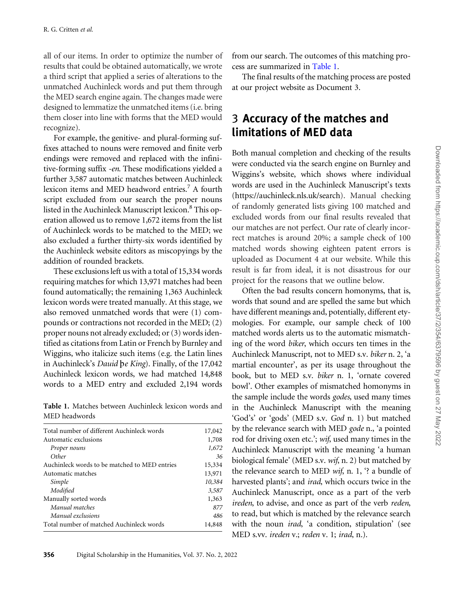all of our items. In order to optimize the number of results that could be obtained automatically, we wrote a third script that applied a series of alterations to the unmatched Auchinleck words and put them through the MED search engine again. The changes made were designed to lemmatize the unmatched items (i.e. bring them closer into line with forms that the MED would recognize).

For example, the genitive- and plural-forming suffixes attached to nouns were removed and finite verb endings were removed and replaced with the infinitive-forming suffix -en. These modifications yielded a further 3,587 automatic matches between Auchinleck lexicon items and MED headword entries.<sup>7</sup> A fourth script excluded from our search the proper nouns listed in the Auchinleck Manuscript lexicon.<sup>8</sup> This operation allowed us to remove 1,672 items from the list of Auchinleck words to be matched to the MED; we also excluded a further thirty-six words identified by the Auchinleck website editors as miscopyings by the addition of rounded brackets.

These exclusions left us with a total of 15,334 words requiring matches for which 13,971 matches had been found automatically; the remaining 1,363 Auchinleck lexicon words were treated manually. At this stage, we also removed unmatched words that were (1) compounds or contractions not recorded in the MED; (2) proper nouns not already excluded; or (3) words identified as citations from Latin or French by Burnley and Wiggins, who italicize such items (e.g. the Latin lines in Auchinleck's Dauid pe King). Finally, of the 17,042 Auchinleck lexicon words, we had matched 14,848 words to a MED entry and excluded 2,194 words

Table 1. Matches between Auchinleck lexicon words and MED headwords

| Total number of different Auchinleck words    | 17,042 |
|-----------------------------------------------|--------|
| Automatic exclusions                          | 1,708  |
| Proper nouns                                  | 1,672  |
| Other                                         | 36     |
| Auchinleck words to be matched to MED entries | 15,334 |
| Automatic matches                             | 13,971 |
| Simple                                        | 10,384 |
| Modified                                      | 3,587  |
| Manually sorted words                         | 1,363  |
| Manual matches                                | 877    |
| Manual exclusions                             | 486    |
| Total number of matched Auchinleck words      | 14,848 |

from our search. The outcomes of this matching process are summarized in Table 1.

The final results of the matching process are posted at our project website as Document 3.

## 3 Accuracy of the matches and limitations of MED data

Both manual completion and checking of the results were conducted via the search engine on Burnley and Wiggins's website, which shows where individual words are used in the Auchinleck Manuscript's texts ([https://auchinleck.nls.uk/search\)](https://auchinleck.nls.uk/search). Manual checking of randomly generated lists giving 100 matched and excluded words from our final results revealed that our matches are not perfect. Our rate of clearly incorrect matches is around 20%; a sample check of 100 matched words showing eighteen patent errors is uploaded as Document 4 at our website. While this result is far from ideal, it is not disastrous for our project for the reasons that we outline below.

Often the bad results concern homonyms, that is, words that sound and are spelled the same but which have different meanings and, potentially, different etymologies. For example, our sample check of 100 matched words alerts us to the automatic mismatching of the word biker, which occurs ten times in the Auchinleck Manuscript, not to MED s.v. biker n. 2, 'a martial encounter', as per its usage throughout the book, but to MED s.v. biker n. 1, 'ornate covered bowl'. Other examples of mismatched homonyms in the sample include the words godes, used many times in the Auchinleck Manuscript with the meaning 'God's' or 'gods' (MED s.v. God n. 1) but matched by the relevance search with MED gode n., 'a pointed rod for driving oxen etc.'; wif, used many times in the Auchinleck Manuscript with the meaning 'a human biological female' (MED s.v. wif, n. 2) but matched by the relevance search to MED wif, n. 1, '? a bundle of harvested plants'; and *irad*, which occurs twice in the Auchinleck Manuscript, once as a part of the verb ireden, to advise, and once as part of the verb reden, to read, but which is matched by the relevance search with the noun *irad*, 'a condition, stipulation' (see MED s.vv. ireden v.; reden v. 1; irad, n.).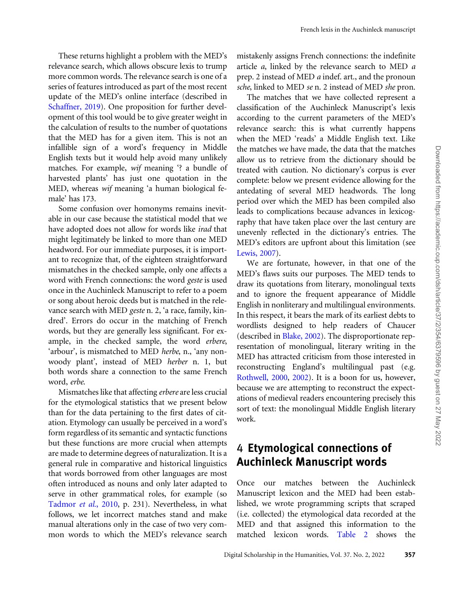These returns highlight a problem with the MED's relevance search, which allows obscure lexis to trump more common words. The relevance search is one of a series of features introduced as part of the most recent update of the MED's online interface (described in [Schaffner, 2019](#page-18-0)). One proposition for further development of this tool would be to give greater weight in the calculation of results to the number of quotations that the MED has for a given item. This is not an infallible sign of a word's frequency in Middle English texts but it would help avoid many unlikely matches. For example, wif meaning '? a bundle of harvested plants' has just one quotation in the MED, whereas wif meaning 'a human biological female' has 173.

Some confusion over homonyms remains inevitable in our case because the statistical model that we have adopted does not allow for words like irad that might legitimately be linked to more than one MED headword. For our immediate purposes, it is important to recognize that, of the eighteen straightforward mismatches in the checked sample, only one affects a word with French connections: the word geste is used once in the Auchinleck Manuscript to refer to a poem or song about heroic deeds but is matched in the relevance search with MED geste n. 2, 'a race, family, kindred'. Errors do occur in the matching of French words, but they are generally less significant. For example, in the checked sample, the word erbere, 'arbour', is mismatched to MED herbe, n., 'any nonwoody plant', instead of MED herber n. 1, but both words share a connection to the same French word, erbe.

Mismatches like that affecting erbere are less crucial for the etymological statistics that we present below than for the data pertaining to the first dates of citation. Etymology can usually be perceived in a word's form regardless of its semantic and syntactic functions but these functions are more crucial when attempts are made to determine degrees of naturalization. It is a general rule in comparative and historical linguistics that words borrowed from other languages are most often introduced as nouns and only later adapted to serve in other grammatical roles, for example (so [Tadmor](#page-18-0) et al., 2010, p. 231). Nevertheless, in what follows, we let incorrect matches stand and make manual alterations only in the case of two very common words to which the MED's relevance search

mistakenly assigns French connections: the indefinite article a, linked by the relevance search to MED a prep. 2 instead of MED a indef. art., and the pronoun sche, linked to MED se n. 2 instead of MED she pron.

The matches that we have collected represent a classification of the Auchinleck Manuscript's lexis according to the current parameters of the MED's relevance search: this is what currently happens when the MED 'reads' a Middle English text. Like the matches we have made, the data that the matches allow us to retrieve from the dictionary should be treated with caution. No dictionary's corpus is ever complete: below we present evidence allowing for the antedating of several MED headwords. The long period over which the MED has been compiled also leads to complications because advances in lexicography that have taken place over the last century are unevenly reflected in the dictionary's entries. The MED's editors are upfront about this limitation (see [Lewis, 2007\)](#page-18-0).

We are fortunate, however, in that one of the MED's flaws suits our purposes. The MED tends to draw its quotations from literary, monolingual texts and to ignore the frequent appearance of Middle English in nonliterary and multilingual environments. In this respect, it bears the mark of its earliest debts to wordlists designed to help readers of Chaucer (described in [Blake, 2002\)](#page-16-0). The disproportionate representation of monolingual, literary writing in the MED has attracted criticism from those interested in reconstructing England's multilingual past (e.g. [Rothwell, 2000,](#page-18-0) [2002](#page-18-0)). It is a boon for us, however, because we are attempting to reconstruct the expectations of medieval readers encountering precisely this sort of text: the monolingual Middle English literary work.

## 4 Etymological connections of Auchinleck Manuscript words

Once our matches between the Auchinleck Manuscript lexicon and the MED had been established, we wrote programming scripts that scraped (i.e. collected) the etymological data recorded at the MED and that assigned this information to the matched lexicon words. [Table 2](#page-4-0) shows the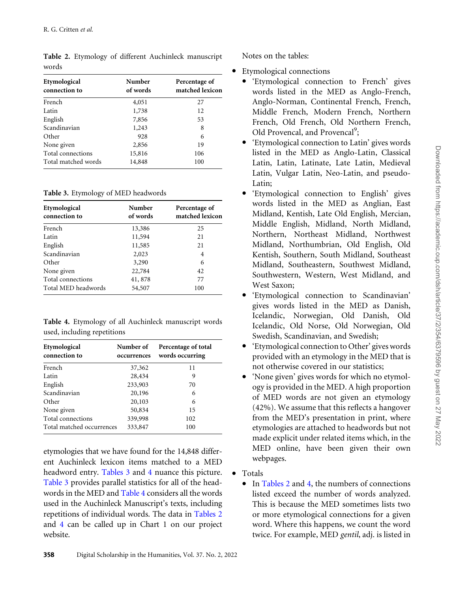| Etymological<br>connection to | Number<br>of words | Percentage of<br>matched lexicon |
|-------------------------------|--------------------|----------------------------------|
| French                        | 4,051              | 27                               |
| Latin                         | 1,738              | 12                               |
| English                       | 7,856              | 53                               |
| Scandinavian                  | 1,243              | 8                                |
| Other                         | 928                | 6                                |
| None given                    | 2,856              | 19                               |
| Total connections             | 15,816             | 106                              |
| Total matched words           | 14,848             | 100                              |

<span id="page-4-0"></span>Table 2. Etymology of different Auchinleck manuscript words

Table 3. Etymology of MED headwords

| Etymological<br>connection to | Number<br>of words | Percentage of<br>matched lexicon |
|-------------------------------|--------------------|----------------------------------|
| French                        | 13,386             | 25                               |
| Latin                         | 11,594             | 21                               |
| English                       | 11,585             | 21                               |
| Scandinavian                  | 2,023              | 4                                |
| Other                         | 3,290              | 6                                |
| None given                    | 22,784             | 42                               |
| Total connections             | 41,878             | 77                               |
| Total MED headwords           | 54,507             | 100                              |

Table 4. Etymology of all Auchinleck manuscript words used, including repetitions

| Etymological<br>connection to | Number of<br>occurrences | Percentage of total<br>words occurring |
|-------------------------------|--------------------------|----------------------------------------|
| French                        | 37,362                   | 11                                     |
| Latin                         | 28,434                   | 9                                      |
| English                       | 233,903                  | 70                                     |
| Scandinavian                  | 20,196                   | 6                                      |
| Other                         | 20,103                   | 6                                      |
| None given                    | 50,834                   | 15                                     |
| Total connections             | 339,998                  | 102                                    |
| Total matched occurrences     | 333,847                  | 100                                    |

etymologies that we have found for the 14,848 different Auchinleck lexicon items matched to a MED headword entry. Tables 3 and 4 nuance this picture. Table 3 provides parallel statistics for all of the headwords in the MED and Table 4 considers all the words used in the Auchinleck Manuscript's texts, including repetitions of individual words. The data in Tables 2 and 4 can be called up in Chart 1 on our project website.

Notes on the tables:

- Etymological connections
	- 'Etymological connection to French' gives words listed in the MED as Anglo-French, Anglo-Norman, Continental French, French, Middle French, Modern French, Northern French, Old French, Old Northern French, Old Provencal, and Provencal<sup>9</sup>;
	- 'Etymological connection to Latin' gives words listed in the MED as Anglo-Latin, Classical Latin, Latin, Latinate, Late Latin, Medieval Latin, Vulgar Latin, Neo-Latin, and pseudo-Latin;
	- † 'Etymological connection to English' gives words listed in the MED as Anglian, East Midland, Kentish, Late Old English, Mercian, Middle English, Midland, North Midland, Northern, Northeast Midland, Northwest Midland, Northumbrian, Old English, Old Kentish, Southern, South Midland, Southeast Midland, Southeastern, Southwest Midland, Southwestern, Western, West Midland, and West Saxon;
	- † 'Etymological connection to Scandinavian' gives words listed in the MED as Danish, Icelandic, Norwegian, Old Danish, Old Icelandic, Old Norse, Old Norwegian, Old Swedish, Scandinavian, and Swedish;
	- 'Etymological connection to Other' gives words provided with an etymology in the MED that is not otherwise covered in our statistics;
	- 'None given' gives words for which no etymology is provided in the MED. A high proportion of MED words are not given an etymology (42%). We assume that this reflects a hangover from the MED's presentation in print, where etymologies are attached to headwords but not made explicit under related items which, in the MED online, have been given their own webpages.
- $\bullet$  Totals
	- In Tables 2 and 4, the numbers of connections listed exceed the number of words analyzed. This is because the MED sometimes lists two or more etymological connections for a given word. Where this happens, we count the word twice. For example, MED gentil, adj. is listed in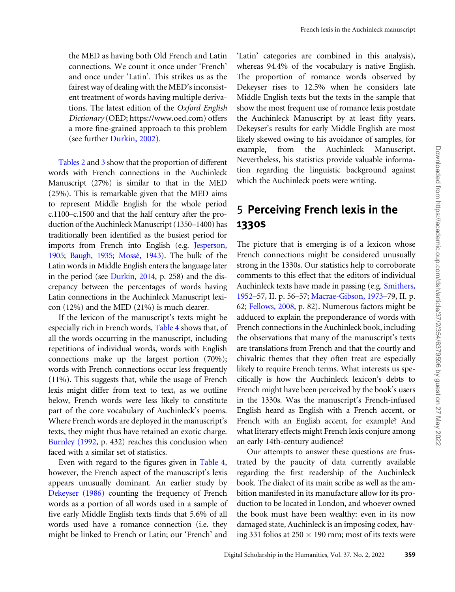the MED as having both Old French and Latin connections. We count it once under 'French' and once under 'Latin'. This strikes us as the fairest way of dealing with the MED's inconsistent treatment of words having multiple derivations. The latest edition of the Oxford English Dictionary (OED; https://www.oed.com) offers a more fine-grained approach to this problem (see further [Durkin, 2002](#page-17-0)).

[Tables 2](#page-4-0) and [3](#page-4-0) show that the proportion of different words with French connections in the Auchinleck Manuscript (27%) is similar to that in the MED (25%). This is remarkable given that the MED aims to represent Middle English for the whole period c.1100–c.1500 and that the half century after the production of the Auchinleck Manuscript (1350–1400) has traditionally been identified as the busiest period for imports from French into English (e.g. [Jesperson,](#page-18-0) [1905](#page-18-0); [Baugh, 1935;](#page-16-0) Mossé, 1943). The bulk of the Latin words in Middle English enters the language later in the period (see [Durkin, 2014](#page-17-0), p. 258) and the discrepancy between the percentages of words having Latin connections in the Auchinleck Manuscript lexicon (12%) and the MED (21%) is much clearer.

If the lexicon of the manuscript's texts might be especially rich in French words, [Table 4](#page-4-0) shows that, of all the words occurring in the manuscript, including repetitions of individual words, words with English connections make up the largest portion (70%); words with French connections occur less frequently (11%). This suggests that, while the usage of French lexis might differ from text to text, as we outline below, French words were less likely to constitute part of the core vocabulary of Auchinleck's poems. Where French words are deployed in the manuscript's texts, they might thus have retained an exotic charge. [Burnley \(1992](#page-16-0), p. 432) reaches this conclusion when faced with a similar set of statistics.

Even with regard to the figures given in [Table 4](#page-4-0), however, the French aspect of the manuscript's lexis appears unusually dominant. An earlier study by [Dekeyser \(1986\)](#page-17-0) counting the frequency of French words as a portion of all words used in a sample of five early Middle English texts finds that 5.6% of all words used have a romance connection (i.e. they might be linked to French or Latin; our 'French' and

'Latin' categories are combined in this analysis), whereas 94.4% of the vocabulary is native English. The proportion of romance words observed by Dekeyser rises to 12.5% when he considers late Middle English texts but the texts in the sample that show the most frequent use of romance lexis postdate the Auchinleck Manuscript by at least fifty years. Dekeyser's results for early Middle English are most likely skewed owing to his avoidance of samples, for example, from the Auchinleck Manuscript. Nevertheless, his statistics provide valuable information regarding the linguistic background against which the Auchinleck poets were writing.

## 5 Perceiving French lexis in the 1330s

The picture that is emerging is of a lexicon whose French connections might be considered unusually strong in the 1330s. Our statistics help to corroborate comments to this effect that the editors of individual Auchinleck texts have made in passing (e.g. [Smithers,](#page-18-0) [1952–](#page-18-0)57, II. p. 56–57; [Macrae-Gibson, 1973](#page-18-0)–79, II. p. 62; [Fellows, 2008](#page-17-0), p. 82). Numerous factors might be adduced to explain the preponderance of words with French connections in the Auchinleck book, including the observations that many of the manuscript's texts are translations from French and that the courtly and chivalric themes that they often treat are especially likely to require French terms. What interests us specifically is how the Auchinleck lexicon's debts to French might have been perceived by the book's users in the 1330s. Was the manuscript's French-infused English heard as English with a French accent, or French with an English accent, for example? And what literary effects might French lexis conjure among an early 14th-century audience?

Our attempts to answer these questions are frustrated by the paucity of data currently available regarding the first readership of the Auchinleck book. The dialect of its main scribe as well as the ambition manifested in its manufacture allow for its production to be located in London, and whoever owned the book must have been wealthy: even in its now damaged state, Auchinleck is an imposing codex, having 331 folios at 250  $\times$  190 mm; most of its texts were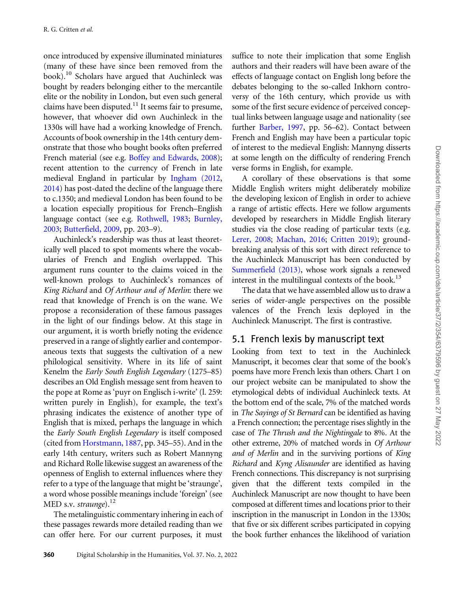once introduced by expensive illuminated miniatures (many of these have since been removed from the book).10 Scholars have argued that Auchinleck was bought by readers belonging either to the mercantile elite or the nobility in London, but even such general claims have been disputed.<sup>11</sup> It seems fair to presume, however, that whoever did own Auchinleck in the 1330s will have had a working knowledge of French. Accounts of book ownership in the 14th century demonstrate that those who bought books often preferred French material (see e.g. [Boffey and Edwards, 2008\)](#page-16-0); recent attention to the currency of French in late medieval England in particular by [Ingham \(2012](#page-17-0), [2014](#page-17-0)) has post-dated the decline of the language there to c.1350; and medieval London has been found to be a location especially propitious for French–English language contact (see e.g. [Rothwell, 1983;](#page-18-0) [Burnley,](#page-16-0) [2003](#page-16-0); [Butterfield, 2009,](#page-16-0) pp. 203–9).

Auchinleck's readership was thus at least theoretically well placed to spot moments where the vocabularies of French and English overlapped. This argument runs counter to the claims voiced in the well-known prologs to Auchinleck's romances of King Richard and Of Arthour and of Merlin: there we read that knowledge of French is on the wane. We propose a reconsideration of these famous passages in the light of our findings below. At this stage in our argument, it is worth briefly noting the evidence preserved in a range of slightly earlier and contemporaneous texts that suggests the cultivation of a new philological sensitivity. Where in its life of saint Kenelm the Early South English Legendary (1275–85) describes an Old English message sent from heaven to the pope at Rome as 'puyr on Englisch i-write' (l. 259: written purely in English), for example, the text's phrasing indicates the existence of another type of English that is mixed, perhaps the language in which the Early South English Legendary is itself composed (cited from [Horstmann, 1887,](#page-17-0) pp. 345–55). And in the early 14th century, writers such as Robert Mannyng and Richard Rolle likewise suggest an awareness of the openness of English to external influences where they refer to a type of the language that might be 'straunge', a word whose possible meanings include 'foreign' (see MED s.v. straunge). $^{12}$ 

The metalinguistic commentary inhering in each of these passages rewards more detailed reading than we can offer here. For our current purposes, it must

suffice to note their implication that some English authors and their readers will have been aware of the effects of language contact on English long before the debates belonging to the so-called Inkhorn controversy of the 16th century, which provide us with some of the first secure evidence of perceived conceptual links between language usage and nationality (see further [Barber, 1997](#page-16-0), pp. 56–62). Contact between French and English may have been a particular topic of interest to the medieval English: Mannyng disserts at some length on the difficulty of rendering French verse forms in English, for example.

A corollary of these observations is that some Middle English writers might deliberately mobilize the developing lexicon of English in order to achieve a range of artistic effects. Here we follow arguments developed by researchers in Middle English literary studies via the close reading of particular texts (e.g. [Lerer, 2008](#page-18-0); [Machan, 2016](#page-18-0); [Critten 2019\)](#page-17-0); groundbreaking analysis of this sort with direct reference to the Auchinleck Manuscript has been conducted by [Summerfield \(2013\)](#page-18-0), whose work signals a renewed interest in the multilingual contexts of the book.<sup>13</sup>

The data that we have assembled allow us to draw a series of wider-angle perspectives on the possible valences of the French lexis deployed in the Auchinleck Manuscript. The first is contrastive.

#### 5.1 French lexis by manuscript text

Looking from text to text in the Auchinleck Manuscript, it becomes clear that some of the book's poems have more French lexis than others. Chart 1 on our project website can be manipulated to show the etymological debts of individual Auchinleck texts. At the bottom end of the scale, 7% of the matched words in The Sayings of St Bernard can be identified as having a French connection; the percentage rises slightly in the case of The Thrush and the Nightingale to 8%. At the other extreme, 20% of matched words in Of Arthour and of Merlin and in the surviving portions of King Richard and Kyng Alisaunder are identified as having French connections. This discrepancy is not surprising given that the different texts compiled in the Auchinleck Manuscript are now thought to have been composed at different times and locations prior to their inscription in the manuscript in London in the 1330s; that five or six different scribes participated in copying the book further enhances the likelihood of variation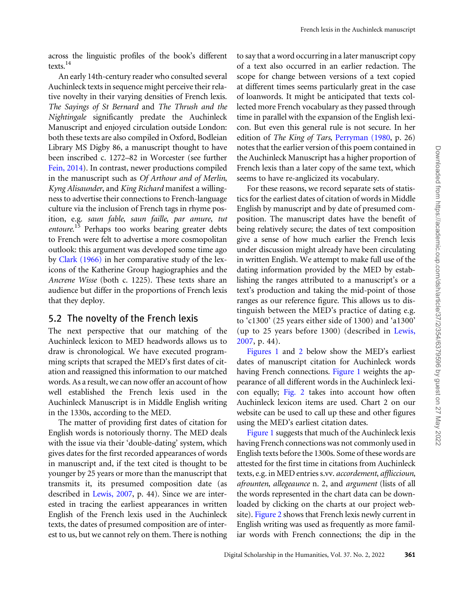across the linguistic profiles of the book's different texts.14

An early 14th-century reader who consulted several Auchinleck texts in sequence might perceive their relative novelty in their varying densities of French lexis. The Sayings of St Bernard and The Thrush and the Nightingale significantly predate the Auchinleck Manuscript and enjoyed circulation outside London: both these texts are also compiled in Oxford, Bodleian Library MS Digby 86, a manuscript thought to have been inscribed c. 1272–82 in Worcester (see further [Fein, 2014\)](#page-17-0). In contrast, newer productions compiled in the manuscript such as Of Arthour and of Merlin, Kyng Alisaunder, and King Richard manifest a willingness to advertise their connections to French-language culture via the inclusion of French tags in rhyme position, e.g. saun fable, saun faille, par amure, tut entoure.<sup>15</sup> Perhaps too works bearing greater debts to French were felt to advertise a more cosmopolitan outlook: this argument was developed some time ago by [Clark \(1966\)](#page-17-0) in her comparative study of the lexicons of the Katherine Group hagiographies and the Ancrene Wisse (both c. 1225). These texts share an audience but differ in the proportions of French lexis that they deploy.

#### 5.2 The novelty of the French lexis

The next perspective that our matching of the Auchinleck lexicon to MED headwords allows us to draw is chronological. We have executed programming scripts that scraped the MED's first dates of citation and reassigned this information to our matched words. As a result, we can now offer an account of how well established the French lexis used in the Auchinleck Manuscript is in Middle English writing in the 1330s, according to the MED.

The matter of providing first dates of citation for English words is notoriously thorny. The MED deals with the issue via their 'double-dating' system, which gives dates for the first recorded appearances of words in manuscript and, if the text cited is thought to be younger by 25 years or more than the manuscript that transmits it, its presumed composition date (as described in [Lewis, 2007,](#page-18-0) p. 44). Since we are interested in tracing the earliest appearances in written English of the French lexis used in the Auchinleck texts, the dates of presumed composition are of interest to us, but we cannot rely on them. There is nothing

to say that a word occurring in a later manuscript copy of a text also occurred in an earlier redaction. The scope for change between versions of a text copied at different times seems particularly great in the case of loanwords. It might be anticipated that texts collected more French vocabulary as they passed through time in parallel with the expansion of the English lexicon. But even this general rule is not secure. In her edition of The King of Tars, [Perryman \(1980](#page-18-0), p. 26) notes that the earlier version of this poem contained in the Auchinleck Manuscript has a higher proportion of French lexis than a later copy of the same text, which seems to have re-anglicized its vocabulary.

For these reasons, we record separate sets of statistics for the earliest dates of citation of words in Middle English by manuscript and by date of presumed composition. The manuscript dates have the benefit of being relatively secure; the dates of text composition give a sense of how much earlier the French lexis under discussion might already have been circulating in written English. We attempt to make full use of the dating information provided by the MED by establishing the ranges attributed to a manuscript's or a text's production and taking the mid-point of those ranges as our reference figure. This allows us to distinguish between the MED's practice of dating e.g. to 'c1300' (25 years either side of 1300) and 'a1300' (up to 25 years before 1300) (described in [Lewis,](#page-18-0) [2007](#page-18-0), p. 44).

[Figures 1](#page-8-0) and [2](#page-9-0) below show the MED's earliest dates of manuscript citation for Auchinleck words having French connections. [Figure 1](#page-8-0) weights the appearance of all different words in the Auchinleck lexicon equally; [Fig. 2](#page-9-0) takes into account how often Auchinleck lexicon items are used. Chart 2 on our website can be used to call up these and other figures using the MED's earliest citation dates.

[Figure 1](#page-8-0) suggests that much of the Auchinleck lexis having French connections was not commonly used in English texts before the 1300s. Some of these words are attested for the first time in citations from Auchinleck texts, e.g. in MED entries s.vv. accordement, affliccioun, afrounten, allegeaunce n. 2, and argument (lists of all the words represented in the chart data can be downloaded by clicking on the charts at our project website). [Figure 2](#page-9-0) shows that French lexis newly current in English writing was used as frequently as more familiar words with French connections; the dip in the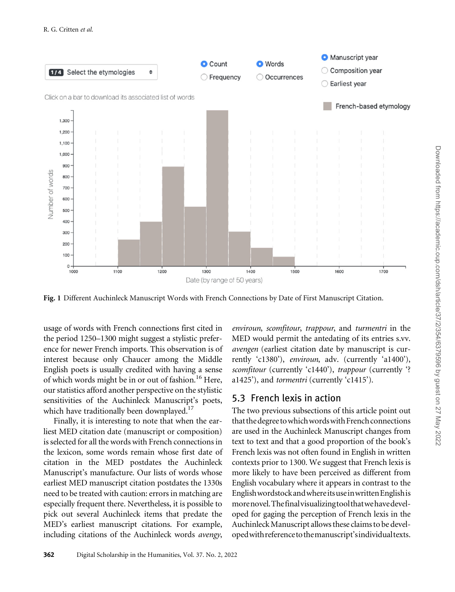<span id="page-8-0"></span>

Fig. 1 Different Auchinleck Manuscript Words with French Connections by Date of First Manuscript Citation.

usage of words with French connections first cited in the period 1250–1300 might suggest a stylistic preference for newer French imports. This observation is of interest because only Chaucer among the Middle English poets is usually credited with having a sense of which words might be in or out of fashion.<sup>16</sup> Here, our statistics afford another perspective on the stylistic sensitivities of the Auchinleck Manuscript's poets, which have traditionally been downplayed.<sup>17</sup>

Finally, it is interesting to note that when the earliest MED citation date (manuscript or composition) is selected for all the words with French connections in the lexicon, some words remain whose first date of citation in the MED postdates the Auchinleck Manuscript's manufacture. Our lists of words whose earliest MED manuscript citation postdates the 1330s need to be treated with caution: errors in matching are especially frequent there. Nevertheless, it is possible to pick out several Auchinleck items that predate the MED's earliest manuscript citations. For example, including citations of the Auchinleck words avengy,

enviroun, scomfitour, trappour, and turmentri in the MED would permit the antedating of its entries s.vv. avengen (earliest citation date by manuscript is currently 'c1380'), enviroun, adv. (currently 'a1400'), scomfitour (currently 'c1440'), trappour (currently '? a1425'), and tormentri (currently 'c1415').

#### 5.3 French lexis in action

The two previous subsections of this article point out that the degree to which words with French connections are used in the Auchinleck Manuscript changes from text to text and that a good proportion of the book's French lexis was not often found in English in written contexts prior to 1300. We suggest that French lexis is more likely to have been perceived as different from English vocabulary where it appears in contrast to the EnglishwordstockandwhereitsuseinwrittenEnglishis morenovel.Thefinalvisualizingtoolthatwehavedeveloped for gaging the perception of French lexis in the Auchinleck Manuscript allows these claims to be developedwithreferencetothemanuscript'sindividualtexts.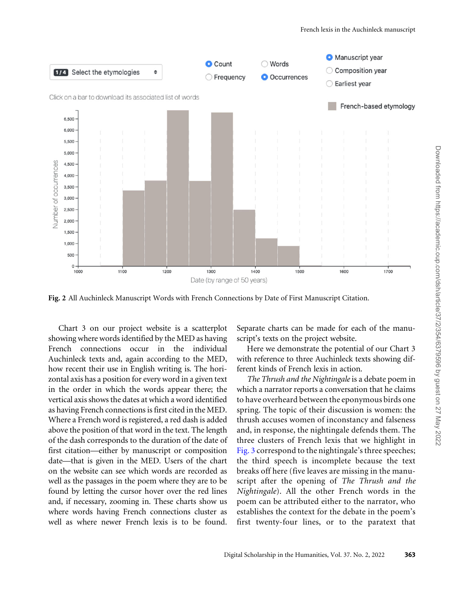<span id="page-9-0"></span>

Fig. 2 All Auchinleck Manuscript Words with French Connections by Date of First Manuscript Citation.

Chart 3 on our project website is a scatterplot showing where words identified by the MED as having French connections occur in the individual Auchinleck texts and, again according to the MED, how recent their use in English writing is. The horizontal axis has a position for every word in a given text in the order in which the words appear there; the vertical axis shows the dates at which a word identified as having French connections is first cited in the MED. Where a French word is registered, a red dash is added above the position of that word in the text. The length of the dash corresponds to the duration of the date of first citation—either by manuscript or composition date—that is given in the MED. Users of the chart on the website can see which words are recorded as well as the passages in the poem where they are to be found by letting the cursor hover over the red lines and, if necessary, zooming in. These charts show us where words having French connections cluster as well as where newer French lexis is to be found.

Separate charts can be made for each of the manuscript's texts on the project website.

Here we demonstrate the potential of our Chart 3 with reference to three Auchinleck texts showing different kinds of French lexis in action.

The Thrush and the Nightingale is a debate poem in which a narrator reports a conversation that he claims to have overheard between the eponymous birds one spring. The topic of their discussion is women: the thrush accuses women of inconstancy and falseness and, in response, the nightingale defends them. The three clusters of French lexis that we highlight in [Fig. 3](#page-10-0) correspond to the nightingale's three speeches; the third speech is incomplete because the text breaks off here (five leaves are missing in the manuscript after the opening of The Thrush and the Nightingale). All the other French words in the poem can be attributed either to the narrator, who establishes the context for the debate in the poem's first twenty-four lines, or to the paratext that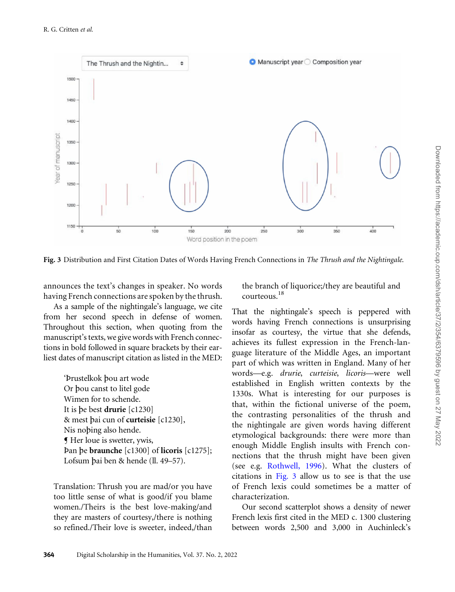<span id="page-10-0"></span>

Fig. 3 Distribution and First Citation Dates of Words Having French Connections in The Thrush and the Nightingale.

announces the text's changes in speaker. No words having French connections are spoken by the thrush.

As a sample of the nightingale's language, we cite from her second speech in defense of women. Throughout this section, when quoting from the manuscript's texts, we give words with French connections in bold followed in square brackets by their earliest dates of manuscript citation as listed in the MED:

> 'Þrustelkok pou art wode Or pou canst to litel gode Wimen for to schende. It is pe best drurie [c1230] & mest pai cun of curteisie [c1230], Nis noping also hende. ¶ Her loue is swetter, ywis, Þan pe braunche [c1300] of licoris [c1275]; Lofsum pai ben & hende (ll. 49–57).

Translation: Thrush you are mad/or you have too little sense of what is good/if you blame women./Theirs is the best love-making/and they are masters of courtesy,/there is nothing so refined./Their love is sweeter, indeed,/than

the branch of liquorice;/they are beautiful and courteous.<sup>18</sup>

That the nightingale's speech is peppered with words having French connections is unsurprising insofar as courtesy, the virtue that she defends, achieves its fullest expression in the French-language literature of the Middle Ages, an important part of which was written in England. Many of her words—e.g. drurie, curteisie, licoris—were well established in English written contexts by the 1330s. What is interesting for our purposes is that, within the fictional universe of the poem, the contrasting personalities of the thrush and the nightingale are given words having different etymological backgrounds: there were more than enough Middle English insults with French connections that the thrush might have been given (see e.g. [Rothwell, 1996](#page-18-0)). What the clusters of citations in Fig. 3 allow us to see is that the use of French lexis could sometimes be a matter of characterization.

Our second scatterplot shows a density of newer French lexis first cited in the MED c. 1300 clustering between words 2,500 and 3,000 in Auchinleck's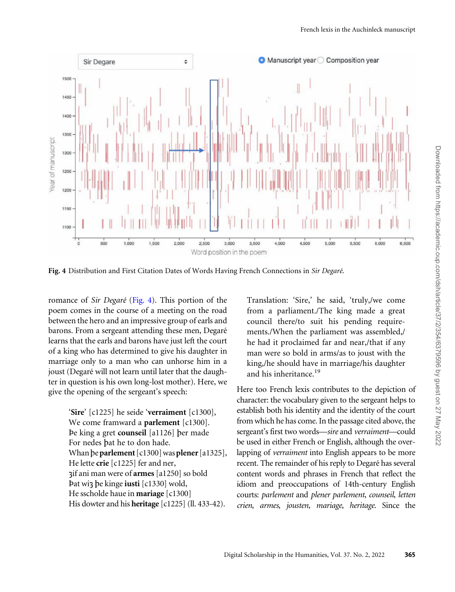

Fig. 4 Distribution and First Citation Dates of Words Having French Connections in Sir Degaré.

romance of Sir Degaré (Fig. 4). This portion of the poem comes in the course of a meeting on the road between the hero and an impressive group of earls and barons. From a sergeant attending these men, Degaré learns that the earls and barons have just left the court of a king who has determined to give his daughter in marriage only to a man who can unhorse him in a joust (Degaré will not learn until later that the daughter in question is his own long-lost mother). Here, we give the opening of the sergeant's speech:

> 'Sire' [c1225] he seide 'verraiment [c1300], We come framward a **parlement** [c1300]. Þe king a gret counseil [a1126] per made For nedes pat he to don hade. Whan be parlement  $\lceil c1300 \rceil$  was plener  $\lceil a1325 \rceil$ , He lette crie [c1225] fer and ner, sif ani man were of armes[a1250] so bold Þat wis pe kinge iusti [c1330] wold, He sscholde haue in mariage [c1300] His dowter and his **heritage** [c1225] (ll. 433-42).

Translation: 'Sire,' he said, 'truly,/we come from a parliament./The king made a great council there/to suit his pending requirements./When the parliament was assembled,/ he had it proclaimed far and near,/that if any man were so bold in arms/as to joust with the king,/he should have in marriage/his daughter and his inheritance.<sup>19</sup>

Here too French lexis contributes to the depiction of character: the vocabulary given to the sergeant helps to establish both his identity and the identity of the court from which he has come. In the passage cited above, the sergeant's first two words—sire and verraiment—could be used in either French or English, although the overlapping of verraiment into English appears to be more recent. The remainder of his reply to Degaré has several content words and phrases in French that reflect the idiom and preoccupations of 14th-century English courts: parlement and plener parlement, counseil, letten crien, armes, jousten, mariage, heritage. Since the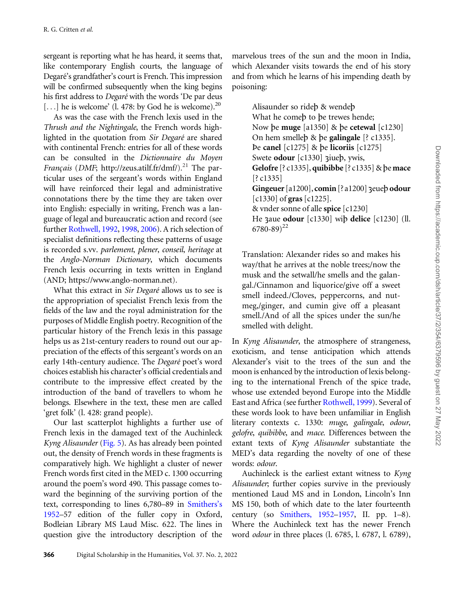sergeant is reporting what he has heard, it seems that, like contemporary English courts, the language of Degaré's grandfather's court is French. This impression will be confirmed subsequently when the king begins his first address to Degaré with the words 'De par deus [...] he is welcome' (l. 478: by God he is welcome).<sup>20</sup>

As was the case with the French lexis used in the Thrush and the Nightingale, the French words highlighted in the quotation from Sir Degaré are shared with continental French: entries for all of these words can be consulted in the Dictionnaire du Moyen Français (DMF; [http://zeus.atilf.fr/dmf/\)](http://zeus.atilf.fr/dmf/).<sup>21</sup> The particular uses of the sergeant's words within England will have reinforced their legal and administrative connotations there by the time they are taken over into English: especially in writing, French was a language of legal and bureaucratic action and record (see further [Rothwell, 1992,](#page-18-0) [1998,](#page-18-0) [2006](#page-18-0)). A rich selection of specialist definitions reflecting these patterns of usage is recorded s.vv. parlement, plener, conseil, heritage at the Anglo-Norman Dictionary, which documents French lexis occurring in texts written in England (AND; [https://www.anglo-norman.net\)](https://www.anglo-norman.net).

What this extract in Sir Degaré allows us to see is the appropriation of specialist French lexis from the fields of the law and the royal administration for the purposes of Middle English poetry. Recognition of the particular history of the French lexis in this passage helps us as 21st-century readers to round out our appreciation of the effects of this sergeant's words on an early 14th-century audience. The Degaré poet's word choices establish his character's official credentials and contribute to the impressive effect created by the introduction of the band of travellers to whom he belongs. Elsewhere in the text, these men are called 'gret folk' (l. 428: grand people).

Our last scatterplot highlights a further use of French lexis in the damaged text of the Auchinleck Kyng Alisaunder [\(Fig. 5\)](#page-13-0). As has already been pointed out, the density of French words in these fragments is comparatively high. We highlight a cluster of newer French words first cited in the MED c. 1300 occurring around the poem's word 490. This passage comes toward the beginning of the surviving portion of the text, corresponding to lines 6,780–89 in [Smithers's](#page-18-0) [1952](#page-18-0)–57 edition of the fuller copy in Oxford, Bodleian Library MS Laud Misc. 622. The lines in question give the introductory description of the

marvelous trees of the sun and the moon in India, which Alexander visits towards the end of his story and from which he learns of his impending death by poisoning:

> Alisaunder so ridep & wendep What he comeb to be trewes hende; Now be muge [a1350] & be cetewal [c1230] On hem smelleb & be galingale [? c1335]. Þe canel [c1275] & pe licoriis [c1275] Swete odour [c1330] 3iueb, ywis, Gelofre  $[?c1335]$ , quibibbe  $[?c1335]$  & be mace [? c1335] Gingeuer [a1200], comin [?a1200] 3euep odour  $\lceil c1330 \rceil$  of gras  $\lceil c1225 \rceil$ . & vnder sonne of alle spice [c1230] He zaue odour [c1330] wip delice [c1230] (ll.  $6780 - 89)^{22}$

Translation: Alexander rides so and makes his way/that he arrives at the noble trees;/now the musk and the setwall/he smells and the galangal./Cinnamon and liquorice/give off a sweet smell indeed./Cloves, peppercorns, and nutmeg,/ginger, and cumin give off a pleasant smell./And of all the spices under the sun/he smelled with delight.

In Kyng Alisaunder, the atmosphere of strangeness, exoticism, and tense anticipation which attends Alexander's visit to the trees of the sun and the moon is enhanced by the introduction of lexis belonging to the international French of the spice trade, whose use extended beyond Europe into the Middle East and Africa (see further [Rothwell, 1999](#page-18-0)). Several of these words look to have been unfamiliar in English literary contexts c. 1330: muge, galingale, odour, gelofre, quibibbe, and mace. Differences between the extant texts of Kyng Alisaunder substantiate the MED's data regarding the novelty of one of these words: odour.

Auchinleck is the earliest extant witness to Kyng Alisaunder; further copies survive in the previously mentioned Laud MS and in London, Lincoln's Inn MS 150, both of which date to the later fourteenth century (so [Smithers, 1952–1957](#page-18-0), II. pp. 1–8). Where the Auchinleck text has the newer French word odour in three places (l. 6785, l. 6787, l. 6789),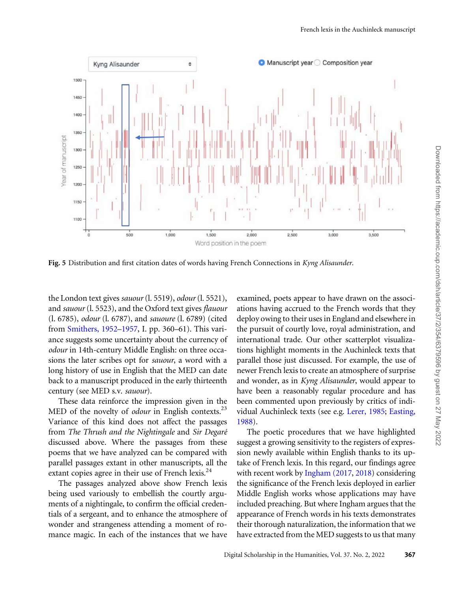<span id="page-13-0"></span>

Fig. 5 Distribution and first citation dates of words having French Connections in Kyng Alisaunder.

the London text gives sauour (l. 5519), odour (l. 5521), and sauour (l. 5523), and the Oxford text gives flauour (l. 6785), odour (l. 6787), and sauoure (l. 6789) (cited from [Smithers, 1952–1957,](#page-18-0) I. pp. 360–61). This variance suggests some uncertainty about the currency of odour in 14th-century Middle English: on three occasions the later scribes opt for sauour, a word with a long history of use in English that the MED can date back to a manuscript produced in the early thirteenth century (see MED s.v. sauour).

These data reinforce the impression given in the MED of the novelty of *odour* in English contexts.<sup>23</sup> Variance of this kind does not affect the passages from The Thrush and the Nightingale and Sir Degaré discussed above. Where the passages from these poems that we have analyzed can be compared with parallel passages extant in other manuscripts, all the extant copies agree in their use of French lexis.<sup>24</sup>

The passages analyzed above show French lexis being used variously to embellish the courtly arguments of a nightingale, to confirm the official credentials of a sergeant, and to enhance the atmosphere of wonder and strangeness attending a moment of romance magic. In each of the instances that we have

examined, poets appear to have drawn on the associations having accrued to the French words that they deploy owing to their uses in England and elsewhere in the pursuit of courtly love, royal administration, and international trade. Our other scatterplot visualizations highlight moments in the Auchinleck texts that parallel those just discussed. For example, the use of newer French lexis to create an atmosphere of surprise and wonder, as in Kyng Alisaunder, would appear to have been a reasonably regular procedure and has been commented upon previously by critics of individual Auchinleck texts (see e.g. [Lerer, 1985](#page-18-0); [Easting,](#page-17-0) [1988\)](#page-17-0).

The poetic procedures that we have highlighted suggest a growing sensitivity to the registers of expression newly available within English thanks to its uptake of French lexis. In this regard, our findings agree with recent work by [Ingham \(2017](#page-18-0), [2018\)](#page-18-0) considering the significance of the French lexis deployed in earlier Middle English works whose applications may have included preaching. But where Ingham argues that the appearance of French words in his texts demonstrates their thorough naturalization, the information that we have extracted from the MED suggests to us that many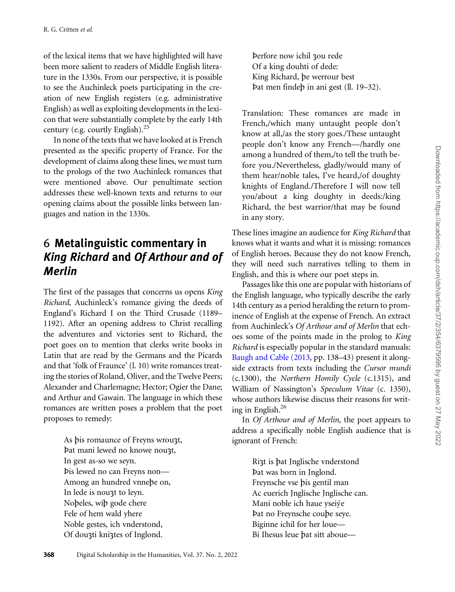of the lexical items that we have highlighted will have been more salient to readers of Middle English literature in the 1330s. From our perspective, it is possible to see the Auchinleck poets participating in the creation of new English registers (e.g. administrative English) as well as exploiting developments in the lexicon that were substantially complete by the early 14th century (e.g. courtly English).25

In none of the texts that we have looked at is French presented as the specific property of France. For the development of claims along these lines, we must turn to the prologs of the two Auchinleck romances that were mentioned above. Our penultimate section addresses these well-known texts and returns to our opening claims about the possible links between languages and nation in the 1330s.

## 6 Metalinguistic commentary in King Richard and Of Arthour and of Merlin

The first of the passages that concerns us opens King Richard, Auchinleck's romance giving the deeds of England's Richard I on the Third Crusade (1189– 1192). After an opening address to Christ recalling the adventures and victories sent to Richard, the poet goes on to mention that clerks write books in Latin that are read by the Germans and the Picards and that 'folk of Fraunce' (l. 10) write romances treating the stories of Roland, Oliver, and the Twelve Peers; Alexander and Charlemagne; Hector; Ogier the Dane; and Arthur and Gawain. The language in which these romances are written poses a problem that the poet proposes to remedy:

> As bis romaunce of Freyns wrouzt, Þat mani lewed no knowe noust, In gest as-so we seyn. Þis lewed no can Freyns non— Among an hundred vnnepe on, In lede is noust to leyn. Nopeles, wip gode chere Fele of hem wald yhere Noble gestes, ich vnderstond, Of dousti knistes of Inglond.

Þerfore now ichil sou rede Of a king douhti of dede: King Richard, pe werrour best Þat men findep in ani gest (ll. 19–32).

Translation: These romances are made in French,/which many untaught people don't know at all,/as the story goes./These untaught people don't know any French—/hardly one among a hundred of them,/to tell the truth before you./Nevertheless, gladly/would many of them hear/noble tales, I've heard,/of doughty knights of England./Therefore I will now tell you/about a king doughty in deeds:/king Richard, the best warrior/that may be found in any story.

These lines imagine an audience for King Richard that knows what it wants and what it is missing: romances of English heroes. Because they do not know French, they will need such narratives telling to them in English, and this is where our poet steps in.

Passages like this one are popular with historians of the English language, who typically describe the early 14th century as a period heralding the return to prominence of English at the expense of French. An extract from Auchinleck's Of Arthour and of Merlin that echoes some of the points made in the prolog to King Richard is especially popular in the standard manuals: [Baugh and Cable \(2013,](#page-16-0) pp. 138–43) present it alongside extracts from texts including the Cursor mundi (c.1300), the Northern Homily Cycle (c.1315), and William of Nassington's Speculum Vitae (c. 1350), whose authors likewise discuss their reasons for writing in English. $^{26}$ 

In Of Arthour and of Merlin, the poet appears to address a specifically noble English audience that is ignorant of French:

> Rist is pat Jnglische vnderstond Þat was born in Jnglond. Freynsche vse pis gentil man Ac euerich Jnglische Jnglische can. Mani noble ich haue yseiýe Þat no Freynsche coupe seye. Biginne ichil for her loue— Bi Ihesus leue bat sitt aboue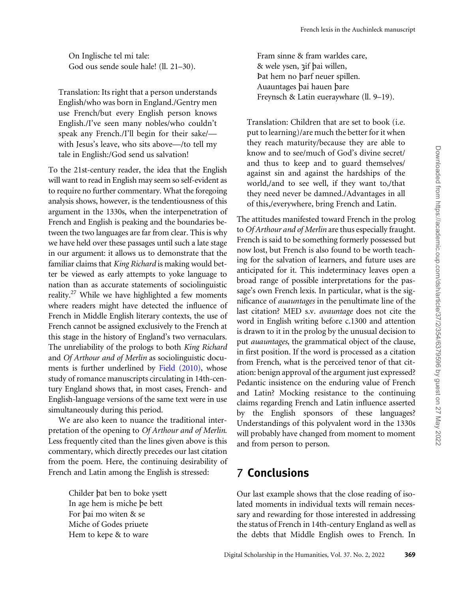On Inglische tel mi tale: God ous sende soule hale! (ll. 21–30).

Translation: Its right that a person understands English/who was born in England./Gentry men use French/but every English person knows English./I've seen many nobles/who couldn't speak any French./I'll begin for their sake/ with Jesus's leave, who sits above—/to tell my tale in English:/God send us salvation!

To the 21st-century reader, the idea that the English will want to read in English may seem so self-evident as to require no further commentary. What the foregoing analysis shows, however, is the tendentiousness of this argument in the 1330s, when the interpenetration of French and English is peaking and the boundaries between the two languages are far from clear. This is why we have held over these passages until such a late stage in our argument: it allows us to demonstrate that the familiar claims that King Richard is making would better be viewed as early attempts to yoke language to nation than as accurate statements of sociolinguistic reality.<sup>27</sup> While we have highlighted a few moments where readers might have detected the influence of French in Middle English literary contexts, the use of French cannot be assigned exclusively to the French at this stage in the history of England's two vernaculars. The unreliability of the prologs to both King Richard and Of Arthour and of Merlin as sociolinguistic documents is further underlined by [Field \(2010\)](#page-17-0), whose study of romance manuscripts circulating in 14th-century England shows that, in most cases, French- and English-language versions of the same text were in use simultaneously during this period.

We are also keen to nuance the traditional interpretation of the opening to Of Arthour and of Merlin. Less frequently cited than the lines given above is this commentary, which directly precedes our last citation from the poem. Here, the continuing desirability of French and Latin among the English is stressed:

> Childer pat ben to boke ysett In age hem is miche pe bett For pai mo witen & se Miche of Godes priuete Hem to kepe & to ware

Fram sinne & fram warldes care, & wele ysen, sif pai willen, Þat hem no parf neuer spillen. Auauntages pai hauen pare Freynsch & Latin eueraywhare (ll. 9–19).

Translation: Children that are set to book (i.e. put to learning)/are much the better for it when they reach maturity/because they are able to know and to see/much of God's divine secret/ and thus to keep and to guard themselves/ against sin and against the hardships of the world,/and to see well, if they want to,/that they need never be damned./Advantages in all of this,/everywhere, bring French and Latin.

The attitudes manifested toward French in the prolog to Of Arthour and of Merlin are thus especially fraught. French is said to be something formerly possessed but now lost, but French is also found to be worth teaching for the salvation of learners, and future uses are anticipated for it. This indeterminacy leaves open a broad range of possible interpretations for the passage's own French lexis. In particular, what is the significance of auauntages in the penultimate line of the last citation? MED s.v. avauntage does not cite the word in English writing before c.1300 and attention is drawn to it in the prolog by the unusual decision to put auauntages, the grammatical object of the clause, in first position. If the word is processed as a citation from French, what is the perceived tenor of that citation: benign approval of the argument just expressed? Pedantic insistence on the enduring value of French and Latin? Mocking resistance to the continuing claims regarding French and Latin influence asserted by the English sponsors of these languages? Understandings of this polyvalent word in the 1330s will probably have changed from moment to moment and from person to person.

## 7 Conclusions

Our last example shows that the close reading of isolated moments in individual texts will remain necessary and rewarding for those interested in addressing the status of French in 14th-century England as well as the debts that Middle English owes to French. In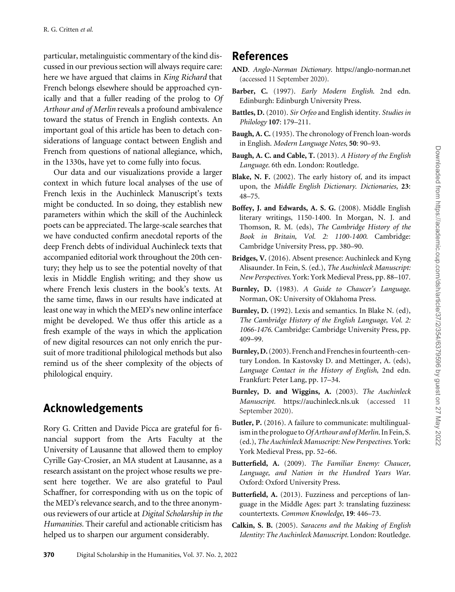<span id="page-16-0"></span>particular, metalinguistic commentary of the kind discussed in our previous section will always require care: here we have argued that claims in King Richard that French belongs elsewhere should be approached cynically and that a fuller reading of the prolog to Of Arthour and of Merlin reveals a profound ambivalence toward the status of French in English contexts. An important goal of this article has been to detach considerations of language contact between English and French from questions of national allegiance, which, in the 1330s, have yet to come fully into focus.

Our data and our visualizations provide a larger context in which future local analyses of the use of French lexis in the Auchinleck Manuscript's texts might be conducted. In so doing, they establish new parameters within which the skill of the Auchinleck poets can be appreciated. The large-scale searches that we have conducted confirm anecdotal reports of the deep French debts of individual Auchinleck texts that accompanied editorial work throughout the 20th century; they help us to see the potential novelty of that lexis in Middle English writing; and they show us where French lexis clusters in the book's texts. At the same time, flaws in our results have indicated at least one way in which the MED's new online interface might be developed. We thus offer this article as a fresh example of the ways in which the application of new digital resources can not only enrich the pursuit of more traditional philological methods but also remind us of the sheer complexity of the objects of philological enquiry.

## Acknowledgements

Rory G. Critten and Davide Picca are grateful for financial support from the Arts Faculty at the University of Lausanne that allowed them to employ Cyrille Gay-Crosier, an MA student at Lausanne, as a research assistant on the project whose results we present here together. We are also grateful to Paul Schaffner, for corresponding with us on the topic of the MED's relevance search, and to the three anonymous reviewers of our article at Digital Scholarship in the Humanities. Their careful and actionable criticism has helped us to sharpen our argument considerably.

## References

- AND. Anglo-Norman Dictionary.<https://anglo-norman.net> (accessed 11 September 2020).
- Barber, C. (1997). Early Modern English. 2nd edn. Edinburgh: Edinburgh University Press.
- Battles, D. (2010). Sir Orfeo and English identity. Studies in Philology 107: 179–211.
- Baugh, A. C. (1935). The chronology of French loan-words in English. Modern Language Notes, 50: 90–93.
- Baugh, A. C. and Cable, T. (2013). A History of the English Language. 6th edn. London: Routledge.
- Blake, N. F. (2002). The early history of, and its impact upon, the Middle English Dictionary. Dictionaries, 23: 48–75.
- Boffey, J. and Edwards, A. S. G. (2008). Middle English literary writings, 1150-1400. In Morgan, N. J. and Thomson, R. M. (eds), The Cambridge History of the Book in Britain, Vol. 2: 1100-1400. Cambridge: Cambridge University Press, pp. 380–90.
- Bridges, V. (2016). Absent presence: Auchinleck and Kyng Alisaunder. In Fein, S. (ed.), The Auchinleck Manuscript: New Perspectives. York: York Medieval Press, pp. 88–107.
- Burnley, D. (1983). A Guide to Chaucer's Language. Norman, OK: University of Oklahoma Press.
- Burnley, D. (1992). Lexis and semantics. In Blake N. (ed), The Cambridge History of the English Language, Vol. 2: 1066-1476. Cambridge: Cambridge University Press, pp. 409–99.
- Burnley, D.(2003). French and Frenches in fourteenth-century London. In Kastovsky D. and Mettinger, A. (eds), Language Contact in the History of English, 2nd edn. Frankfurt: Peter Lang, pp. 17–34.
- Burnley, D. and Wiggins, A. (2003). The Auchinleck Manuscript. <https://auchinleck.nls.uk> (accessed 11 September 2020).
- Butler, P. (2016). A failure to communicate: multilingualism in the prologue to Of Arthour and of Merlin. In Fein, S. (ed.), The Auchinleck Manuscript: New Perspectives. York: York Medieval Press, pp. 52–66.
- Butterfield, A. (2009). The Familiar Enemy: Chaucer, Language, and Nation in the Hundred Years War. Oxford: Oxford University Press.
- Butterfield, A. (2013). Fuzziness and perceptions of language in the Middle Ages: part 3: translating fuzziness: countertexts. Common Knowledge, 19: 446–73.
- Calkin, S. B. (2005). Saracens and the Making of English Identity: The Auchinleck Manuscript. London: Routledge.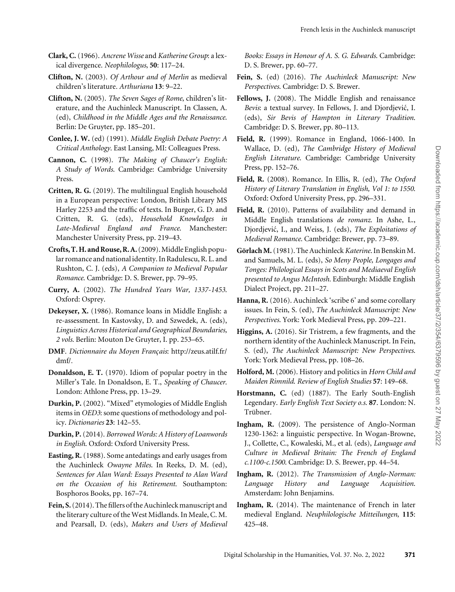- <span id="page-17-0"></span>Clark, C.(1966). Ancrene Wisse and Katherine Group: a lexical divergence. Neophilologus, 50: 117–24.
- Clifton, N. (2003). Of Arthour and of Merlin as medieval children's literature. Arthuriana 13: 9–22.
- Clifton, N. (2005). The Seven Sages of Rome, children's literature, and the Auchinleck Manuscript. In Classen, A. (ed), Childhood in the Middle Ages and the Renaissance. Berlin: De Gruyter, pp. 185–201.
- Conlee, J. W. (ed) (1991). Middle English Debate Poetry: A Critical Anthology. East Lansing, MI: Colleagues Press.
- Cannon, C. (1998). The Making of Chaucer's English: A Study of Words. Cambridge: Cambridge University Press.
- Critten, R. G. (2019). The multilingual English household in a European perspective: London, British Library MS Harley 2253 and the traffic of texts. In Burger, G. D. and Critten, R. G. (eds), Household Knowledges in Late-Medieval England and France. Manchester: Manchester University Press, pp. 219–43.
- Crofts, T. H. and Rouse, R.A.(2009). Middle English popular romance and national identity. In Radulescu, R. L. and Rushton, C. J. (eds), A Companion to Medieval Popular Romance. Cambridge: D. S. Brewer, pp. 79–95.
- Curry, A. (2002). The Hundred Years War, 1337-1453. Oxford: Osprey.
- Dekeyser, X. (1986). Romance loans in Middle English: a re-assessment. In Kastovsky, D. and Szwedek, A. (eds), Linguistics Across Historical and Geographical Boundaries, 2 vols. Berlin: Mouton De Gruyter, I. pp. 253–65.
- DMF. Dictionnaire du Moyen Français: [http://zeus.atilf.fr/](http://zeus.atilf.fr/dmf/) [dmf/.](http://zeus.atilf.fr/dmf/)
- Donaldson, E. T. (1970). Idiom of popular poetry in the Miller's Tale. In Donaldson, E. T., Speaking of Chaucer. London: Athlone Press, pp. 13–29.
- Durkin, P. (2002). "Mixed" etymologies of Middle English items in OED3: some questions of methodology and policy. Dictionaries 23: 142–55.
- Durkin, P.(2014). Borrowed Words: A History of Loanwords in English. Oxford: Oxford University Press.
- Easting, R.(1988). Some antedatings and early usages from the Auchinleck Owayne Miles. In Reeks, D. M. (ed), Sentences for Alan Ward: Essays Presented to Alan Ward on the Occasion of his Retirement. Southampton: Bosphoros Books, pp. 167–74.
- Fein, S.(2014). The fillers of the Auchinleck manuscript and the literary culture of the West Midlands. In Meale, C. M. and Pearsall, D. (eds), Makers and Users of Medieval

Books: Essays in Honour of A. S. G. Edwards. Cambridge: D. S. Brewer, pp. 60–77.

- Fein, S. (ed) (2016). The Auchinleck Manuscript: New Perspectives. Cambridge: D. S. Brewer.
- Fellows, J. (2008). The Middle English and renaissance Bevis: a textual survey. In Fellows, J. and Djordjević, I. (eds), Sir Bevis of Hampton in Literary Tradition. Cambridge: D. S. Brewer, pp. 80–113.
- Field, R. (1999). Romance in England, 1066-1400. In Wallace, D. (ed), The Cambridge History of Medieval English Literature. Cambridge: Cambridge University Press, pp. 152–76.
- Field, R. (2008). Romance. In Ellis, R. (ed), The Oxford History of Literary Translation in English, Vol 1: to 1550. Oxford: Oxford University Press, pp. 296–331.
- Field, R. (2010). Patterns of availability and demand in Middle English translations de romanz. In Ashe, L., Djordjević, I., and Weiss, J. (eds), *The Exploitations of* Medieval Romance. Cambridge: Brewer, pp. 73–89.
- Görlach M. (1981). The Auchinleck Katerine. In Benskin M. and Samuels, M. L. (eds), So Meny People, Longages and Tonges: Philological Essays in Scots and Mediaeval English presented to Angus McIntosh. Edinburgh: Middle English Dialect Project, pp. 211–27.
- Hanna, R. (2016). Auchinleck 'scribe 6' and some corollary issues. In Fein, S. (ed), The Auchinleck Manuscript: New Perspectives. York: York Medieval Press, pp. 209–221.
- Higgins, A. (2016). Sir Tristrem, a few fragments, and the northern identity of the Auchinleck Manuscript. In Fein, S. (ed), The Auchinleck Manuscript: New Perspectives. York: York Medieval Press, pp. 108–26.
- Holford, M. (2006). History and politics in Horn Child and Maiden Rimnild. Review of English Studies 57: 149–68.
- Horstmann, C. (ed) (1887). The Early South-English Legendary. Early English Text Society o.s. 87. London: N. Trübner.
- Ingham, R. (2009). The persistence of Anglo-Norman 1230-1362: a linguistic perspective. In Wogan-Browne, J., Collette, C., Kowaleski, M., et al. (eds), Language and Culture in Medieval Britain: The French of England c.1100-c.1500. Cambridge: D. S. Brewer, pp. 44–54.
- Ingham, R. (2012). The Transmission of Anglo-Norman: Language History and Language Acquisition. Amsterdam: John Benjamins.
- Ingham, R. (2014). The maintenance of French in later medieval England. Neuphilologische Mitteilungen, 115: 425–48.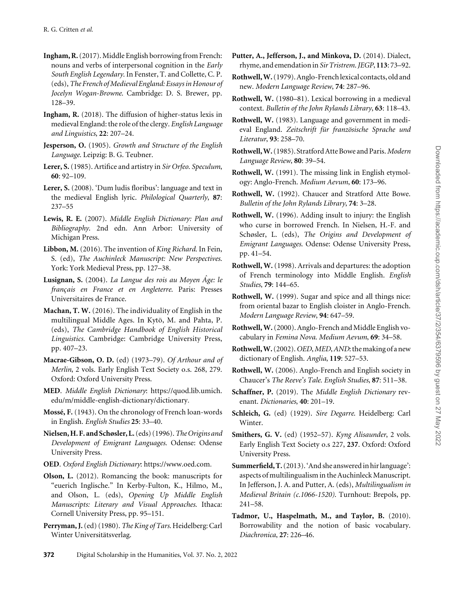- <span id="page-18-0"></span>Ingham, R.(2017). Middle English borrowing from French: nouns and verbs of interpersonal cognition in the Early South English Legendary. In Fenster, T. and Collette, C. P. (eds),The French of Medieval England: Essays in Honour of Jocelyn Wogan-Browne. Cambridge: D. S. Brewer, pp. 128–39.
- Ingham, R. (2018). The diffusion of higher-status lexis in medieval England: the role of the clergy. English Language and Linguistics, 22: 207–24.
- Jesperson, O. (1905). Growth and Structure of the English Language. Leipzig: B. G. Teubner.
- Lerer, S. (1985). Artifice and artistry in Sir Orfeo. Speculum, 60: 92–109.
- Lerer, S. (2008). 'Dum ludis floribus': language and text in the medieval English lyric. Philological Quarterly, 87: 237–55
- Lewis, R. E. (2007). Middle English Dictionary: Plan and Bibliography. 2nd edn. Ann Arbor: University of Michigan Press.
- Libbon, M. (2016). The invention of King Richard. In Fein, S. (ed), The Auchinleck Manuscript: New Perspectives. York: York Medieval Press, pp. 127–38.
- Lusignan, S. (2004). La Langue des rois au Moyen Âge: le français en France et en Angleterre. Paris: Presses Universitaires de France.
- Machan, T. W. (2016). The individuality of English in the multilingual Middle Ages. In Kytö, M. and Pahta, P. (eds), The Cambridge Handbook of English Historical Linguistics. Cambridge: Cambridge University Press, pp. 407–23.
- Macrae-Gibson, O. D. (ed) (1973–79). Of Arthour and of Merlin, 2 vols. Early English Text Society o.s. 268, 279. Oxford: Oxford University Press.
- MED. Middle English Dictionary: [https://quod.lib.umich.](https://quod.lib.umich.edu/m/middle-english-dictionary/dictionary) [edu/m/middle-english-dictionary/dictionary](https://quod.lib.umich.edu/m/middle-english-dictionary/dictionary).
- Mossé, F. (1943). On the chronology of French loan-words in English. English Studies 25: 33–40.
- Nielsen, H. F. and Schøsler, L.(eds) (1996).The Origins and Development of Emigrant Languages. Odense: Odense University Press.
- OED. Oxford English Dictionary:<https://www.oed.com>.
- Olson, L. (2012). Romancing the book: manuscripts for "euerich Inglische." In Kerby-Fulton, K., Hilmo, M., and Olson, L. (eds), Opening Up Middle English Manuscripts: Literary and Visual Approaches. Ithaca: Cornell University Press, pp. 95–151.
- Perryman, J. (ed) (1980). The King of Tars. Heidelberg: Carl Winter Universitätsverlag.
- Putter, A., Jefferson, J., and Minkova, D. (2014). Dialect, rhyme, and emendation in Sir Tristrem. IEGP, 113: 73–92.
- Rothwell,W.(1979). Anglo-French lexical contacts, old and new. Modern Language Review, 74: 287–96.
- Rothwell, W. (1980–81). Lexical borrowing in a medieval context. Bulletin of the John Rylands Library, 63: 118–43.
- Rothwell, W. (1983). Language and government in medieval England. Zeitschrift für französische Sprache und Literatur, 93: 258–70.
- Rothwell, W. (1985). Stratford Atte Bowe and Paris. Modern Language Review, 80: 39–54.
- Rothwell, W. (1991). The missing link in English etymology: Anglo-French. Medium Aevum, 60: 173–96.
- Rothwell, W. (1992). Chaucer and Stratford Atte Bowe. Bulletin of the John Rylands Library, 74: 3–28.
- Rothwell, W. (1996). Adding insult to injury: the English who curse in borrowed French. In Nielsen, H.-F. and Schøsler, L. (eds), The Origins and Development of Emigrant Languages. Odense: Odense University Press, pp. 41–54.
- Rothwell, W.(1998). Arrivals and departures: the adoption of French terminology into Middle English. English Studies, 79: 144–65.
- Rothwell, W. (1999). Sugar and spice and all things nice: from oriental bazar to English cloister in Anglo-French. Modern Language Review, 94: 647–59.
- Rothwell,W.(2000). Anglo-French and Middle English vocabulary in Femina Nova. Medium Aevum, 69: 34–58.
- Rothwell, W. (2002). OED, MED, AND: the making of a new dictionary of English. Anglia, 119: 527–53.
- Rothwell, W. (2006). Anglo-French and English society in Chaucer's The Reeve's Tale. English Studies, 87: 511–38.
- Schaffner, P. (2019). The Middle English Dictionary revenant. Dictionaries, 40: 201–19.
- Schleich, G. (ed) (1929). Sire Degarre. Heidelberg: Carl Winter.
- Smithers, G. V. (ed) (1952–57). Kyng Alisaunder, 2 vols. Early English Text Society o.s 227, 237. Oxford: Oxford University Press.
- Summerfield, T.(2013). 'And she answered in hir language': aspects of multilingualism in the Auchinleck Manuscript. In Jefferson, J. A. and Putter, A. (eds), Multilingualism in Medieval Britain (c.1066-1520). Turnhout: Brepols, pp. 241–58.
- Tadmor, U., Haspelmath, M., and Taylor, B. (2010). Borrowability and the notion of basic vocabulary. Diachronica, 27: 226–46.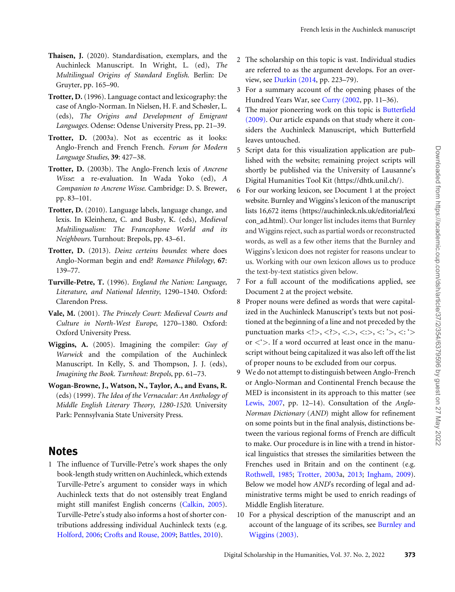- <span id="page-19-0"></span>Thaisen, J. (2020). Standardisation, exemplars, and the Auchinleck Manuscript. In Wright, L. (ed), The Multilingual Origins of Standard English. Berlin: De Gruyter, pp. 165–90.
- Trotter, D. (1996). Language contact and lexicography: the case of Anglo-Norman. In Nielsen, H. F. and Schøsler, L. (eds), The Origins and Development of Emigrant Languages. Odense: Odense University Press, pp. 21–39.
- Trotter, D. (2003a). Not as eccentric as it looks: Anglo-French and French French. Forum for Modern Language Studies, 39: 427–38.
- Trotter, D. (2003b). The Anglo-French lexis of Ancrene Wisse: a re-evaluation. In Wada Yoko (ed), A Companion to Ancrene Wisse. Cambridge: D. S. Brewer, pp. 83–101.
- Trotter, D. (2010). Language labels, language change, and lexis. In Kleinhenz, C. and Busby, K. (eds), Medieval Multilingualism: The Francophone World and its Neighbours. Turnhout: Brepols, pp. 43–61.
- Trotter, D. (2013). Deinz certeins boundes: where does Anglo-Norman begin and end? Romance Philology, 67: 139–77.
- Turville-Petre, T. (1996). England the Nation: Language, Literature, and National Identity, 1290–1340. Oxford: Clarendon Press.
- Vale, M. (2001). The Princely Court: Medieval Courts and Culture in North-West Europe, 1270–1380. Oxford: Oxford University Press.
- Wiggins, A. (2005). Imagining the compiler: Guy of Warwick and the compilation of the Auchinleck Manuscript. In Kelly, S. and Thompson, J. J. (eds), Imagining the Book. Turnhout: Brepols, pp. 61–73.
- Wogan-Browne, J., Watson, N., Taylor, A., and Evans, R. (eds) (1999). The Idea of the Vernacular: An Anthology of Middle English Literary Theory, 1280-1520. University Park: Pennsylvania State University Press.

### Notes

1 The influence of Turville-Petre's work shapes the only book-length study written on Auchinleck, which extends Turville-Petre's argument to consider ways in which Auchinleck texts that do not ostensibly treat England might still manifest English concerns ([Calkin, 2005\)](#page-16-0). Turville-Petre's study also informs a host of shorter contributions addressing individual Auchinleck texts (e.g. [Holford, 2006](#page-17-0); [Crofts and Rouse, 2009;](#page-17-0) [Battles, 2010\)](#page-16-0).

- 2 The scholarship on this topic is vast. Individual studies are referred to as the argument develops. For an overview, see [Durkin \(2014](#page-17-0), pp. 223–79).
- 3 For a summary account of the opening phases of the Hundred Years War, see [Curry \(2002,](#page-17-0) pp. 11–36).
- 4 The major pioneering work on this topic is [Butterfield](#page-16-0) [\(2009\)](#page-16-0). Our article expands on that study where it considers the Auchinleck Manuscript, which Butterfield leaves untouched.
- 5 Script data for this visualization application are published with the website; remaining project scripts will shortly be published via the University of Lausanne's Digital Humanities Tool Kit (<https://dhtk.unil.ch/>).
- 6 For our working lexicon, see Document 1 at the project website. Burnley and Wiggins's lexicon of the manuscript lists 16,672 items [\(https://auchinleck.nls.uk/editorial/lexi](https://auchinleck.nls.uk/editorial/lexicon_ad.html) [con\\_ad.html\)](https://auchinleck.nls.uk/editorial/lexicon_ad.html). Our longer list includes items that Burnley and Wiggins reject, such as partial words or reconstructed words, as well as a few other items that the Burnley and Wiggins's lexicon does not register for reasons unclear to us. Working with our own lexicon allows us to produce the text-by-text statistics given below.
- 7 For a full account of the modifications applied, see Document 2 at the project website.
- 8 Proper nouns were defined as words that were capitalized in the Auchinleck Manuscript's texts but not positioned at the beginning of a line and not preceded by the punctuation marks <!>, <?>, <.>, <.>, <:>, <: '>, <: '> or  $\lt$ ' $>$ . If a word occurred at least once in the manuscript without being capitalized it was also left off the list of proper nouns to be excluded from our corpus.
- 9 We do not attempt to distinguish between Anglo-French or Anglo-Norman and Continental French because the MED is inconsistent in its approach to this matter (see [Lewis, 2007](#page-18-0), pp. 12–14). Consultation of the Anglo-Norman Dictionary (AND) might allow for refinement on some points but in the final analysis, distinctions between the various regional forms of French are difficult to make. Our procedure is in line with a trend in historical linguistics that stresses the similarities between the Frenches used in Britain and on the continent (e.g. [Rothwell, 1985;](#page-18-0) Trotter, 2003a, 2013; [Ingham, 2009\)](#page-17-0). Below we model how AND's recording of legal and administrative terms might be used to enrich readings of Middle English literature.
- 10 For a physical description of the manuscript and an account of the language of its scribes, see [Burnley and](#page-16-0) [Wiggins \(2003\)](#page-16-0).